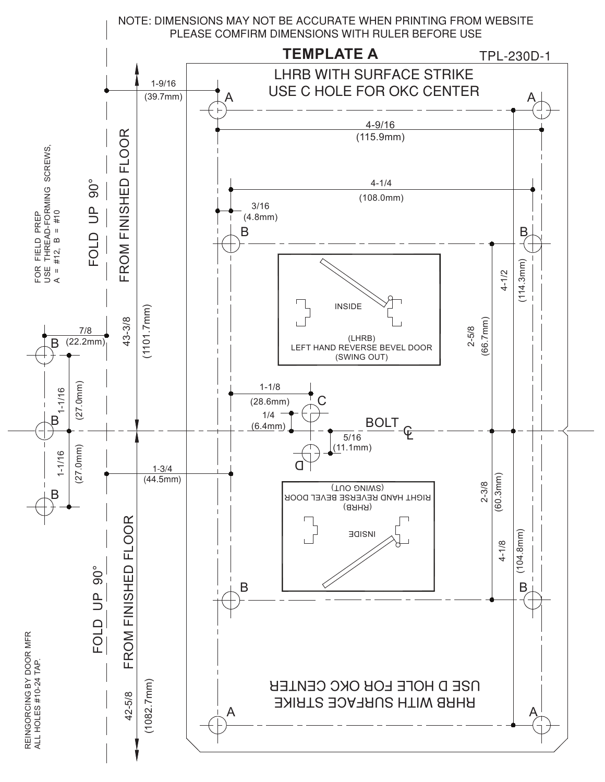